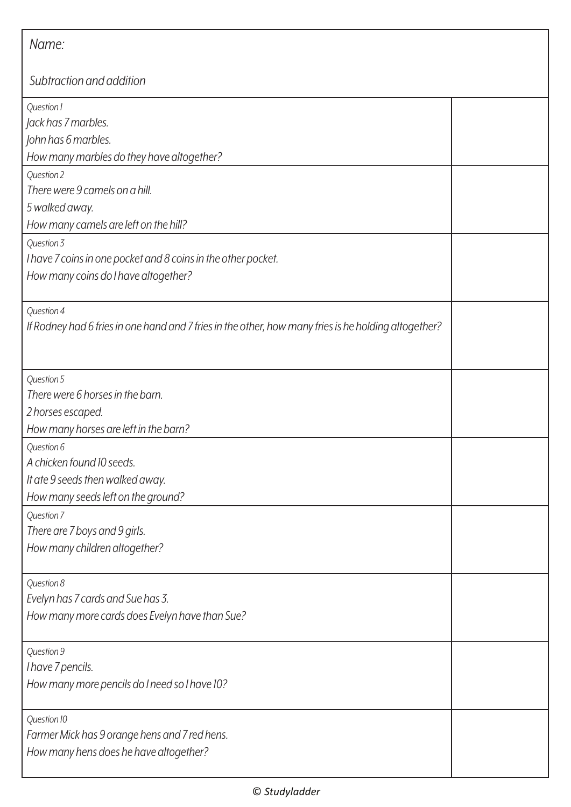| Name:                                                                                                               |  |  |
|---------------------------------------------------------------------------------------------------------------------|--|--|
| Subtraction and addition                                                                                            |  |  |
| Question 1<br>Jack has 7 marbles.<br>John has 6 marbles.<br>How many marbles do they have altogether?               |  |  |
| Question 2<br>There were 9 camels on a hill.<br>5 walked away.<br>How many camels are left on the hill?             |  |  |
| Question 3<br>I have 7 coins in one pocket and 8 coins in the other pocket.<br>How many coins do I have altogether? |  |  |
| Question 4<br>If Rodney had 6 fries in one hand and 7 fries in the other, how many fries is he holding altogether?  |  |  |
| Question 5<br>There were 6 horses in the barn.<br>2 horses escaped.<br>How many horses are left in the barn?        |  |  |
| Question 6<br>A chicken found 10 seeds.<br>It ate 9 seeds then walked away.<br>How many seeds left on the ground?   |  |  |
| Question 7<br>There are 7 boys and 9 girls.<br>How many children altogether?                                        |  |  |
| Question 8<br>Evelyn has 7 cards and Sue has 3.<br>How many more cards does Evelyn have than Sue?                   |  |  |
| Question 9<br>I have 7 pencils.<br>How many more pencils do I need so I have 10?                                    |  |  |
| Question 10<br>Farmer Mick has 9 orange hens and 7 red hens.<br>How many hens does he have altogether?              |  |  |